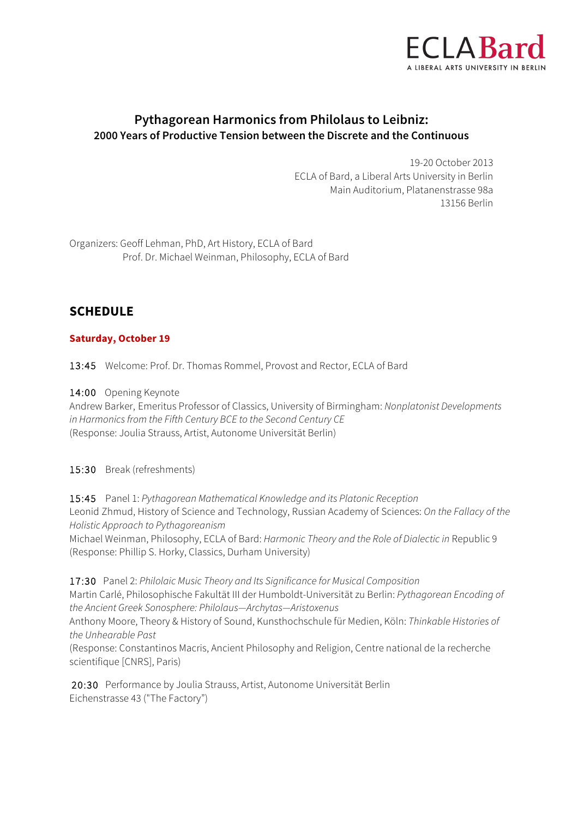

# **Pythagorean Harmonics from Philolaus to Leibniz: 2000 Years of Productive Tension between the Discrete and the Continuous**

19-20 October 2013 ECLA of Bard, a Liberal Arts University in Berlin Main Auditorium, Platanenstrasse 98a 13156 Berlin

Organizers: Geoff Lehman, PhD, Art History, ECLA of Bard Prof. Dr. Michael Weinman, Philosophy, ECLA of Bard

# **SCHEDULE**

### **Saturday, October 19**

13:45 Welcome: Prof. Dr. Thomas Rommel, Provost and Rector, ECLA of Bard

14:00 Opening Keynote

Andrew Barker, Emeritus Professor of Classics, University of Birmingham: *Nonplatonist Developments in Harmonics from the Fifth Century BCE to the Second Century CE* (Response: Joulia Strauss, Artist, Autonome Universität Berlin)

15:30 Break (refreshments)

15:45 Panel 1: *Pythagorean Mathematical Knowledge and its Platonic Reception* Leonid Zhmud, History of Science and Technology, Russian Academy of Sciences: *On the Fallacy of the Holistic Approach to Pythagoreanism*

Michael Weinman, Philosophy, ECLA of Bard: *Harmonic Theory and the Role of Dialectic in* Republic 9 (Response: Phillip S. Horky, Classics, Durham University)

17:30 Panel 2: *Philolaic Music Theory and Its Significance for Musical Composition*  Martin Carlé, Philosophische Fakultät III der Humboldt-Universität zu Berlin: *Pythagorean Encoding of the Ancient Greek Sonosphere: Philolaus—Archytas—Aristoxenus* Anthony Moore, Theory & History of Sound, Kunsthochschule für Medien, Köln: *Thinkable Histories of the Unhearable Past*  (Response: Constantinos Macris, Ancient Philosophy and Religion, Centre national de la recherche scientifique [CNRS], Paris)

20:30 Performance by Joulia Strauss, Artist, Autonome Universität Berlin Eichenstrasse 43 ("The Factory")